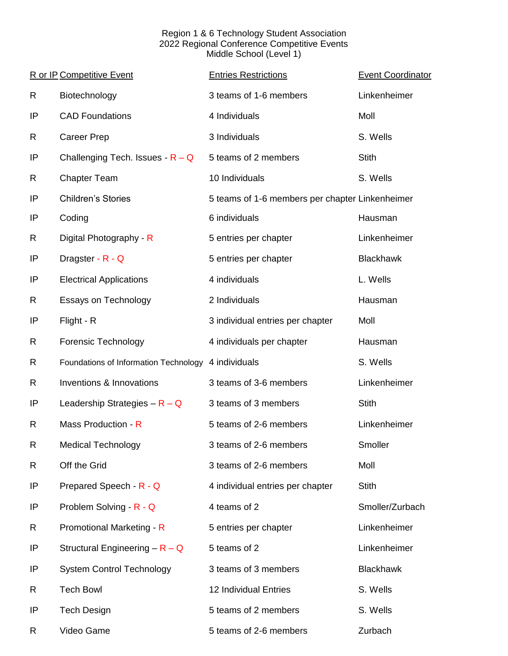## Region 1 & 6 Technology Student Association 2022 Regional Conference Competitive Events Middle School (Level 1)

|    | R or IP Competitive Event                           | <b>Entries Restrictions</b>                     | <b>Event Coordinator</b> |
|----|-----------------------------------------------------|-------------------------------------------------|--------------------------|
| R  | Biotechnology                                       | 3 teams of 1-6 members                          | Linkenheimer             |
| IP | <b>CAD Foundations</b>                              | 4 Individuals                                   | Moll                     |
| R  | <b>Career Prep</b>                                  | 3 Individuals                                   | S. Wells                 |
| IP | Challenging Tech. Issues - $R - Q$                  | 5 teams of 2 members                            | <b>Stith</b>             |
| R  | <b>Chapter Team</b>                                 | 10 Individuals                                  | S. Wells                 |
| IP | <b>Children's Stories</b>                           | 5 teams of 1-6 members per chapter Linkenheimer |                          |
| IP | Coding                                              | 6 individuals                                   | Hausman                  |
| R  | Digital Photography - R                             | 5 entries per chapter                           | Linkenheimer             |
| IP | Dragster - R - Q                                    | 5 entries per chapter                           | <b>Blackhawk</b>         |
| IP | <b>Electrical Applications</b>                      | 4 individuals                                   | L. Wells                 |
| R  | <b>Essays on Technology</b>                         | 2 Individuals                                   | Hausman                  |
| IP | Flight - R                                          | 3 individual entries per chapter                | Moll                     |
| R  | <b>Forensic Technology</b>                          | 4 individuals per chapter                       | Hausman                  |
| R  | Foundations of Information Technology 4 individuals |                                                 | S. Wells                 |
| R  | Inventions & Innovations                            | 3 teams of 3-6 members                          | Linkenheimer             |
| IP | Leadership Strategies $-R - Q$                      | 3 teams of 3 members                            | <b>Stith</b>             |
| R  | Mass Production - R                                 | 5 teams of 2-6 members                          | Linkenheimer             |
| R  | <b>Medical Technology</b>                           | 3 teams of 2-6 members                          | Smoller                  |
| R  | Off the Grid                                        | 3 teams of 2-6 members                          | Moll                     |
| IP | Prepared Speech - R - Q                             | 4 individual entries per chapter                | <b>Stith</b>             |
| IP | Problem Solving - R - Q                             | 4 teams of 2                                    | Smoller/Zurbach          |
| R  | Promotional Marketing - R                           | 5 entries per chapter                           | Linkenheimer             |
| IP | Structural Engineering $-R - Q$                     | 5 teams of 2                                    | Linkenheimer             |
| IP | <b>System Control Technology</b>                    | 3 teams of 3 members                            | <b>Blackhawk</b>         |
| R  | <b>Tech Bowl</b>                                    | 12 Individual Entries                           | S. Wells                 |
| IP | <b>Tech Design</b>                                  | 5 teams of 2 members                            | S. Wells                 |
| R  | Video Game                                          | 5 teams of 2-6 members                          | Zurbach                  |